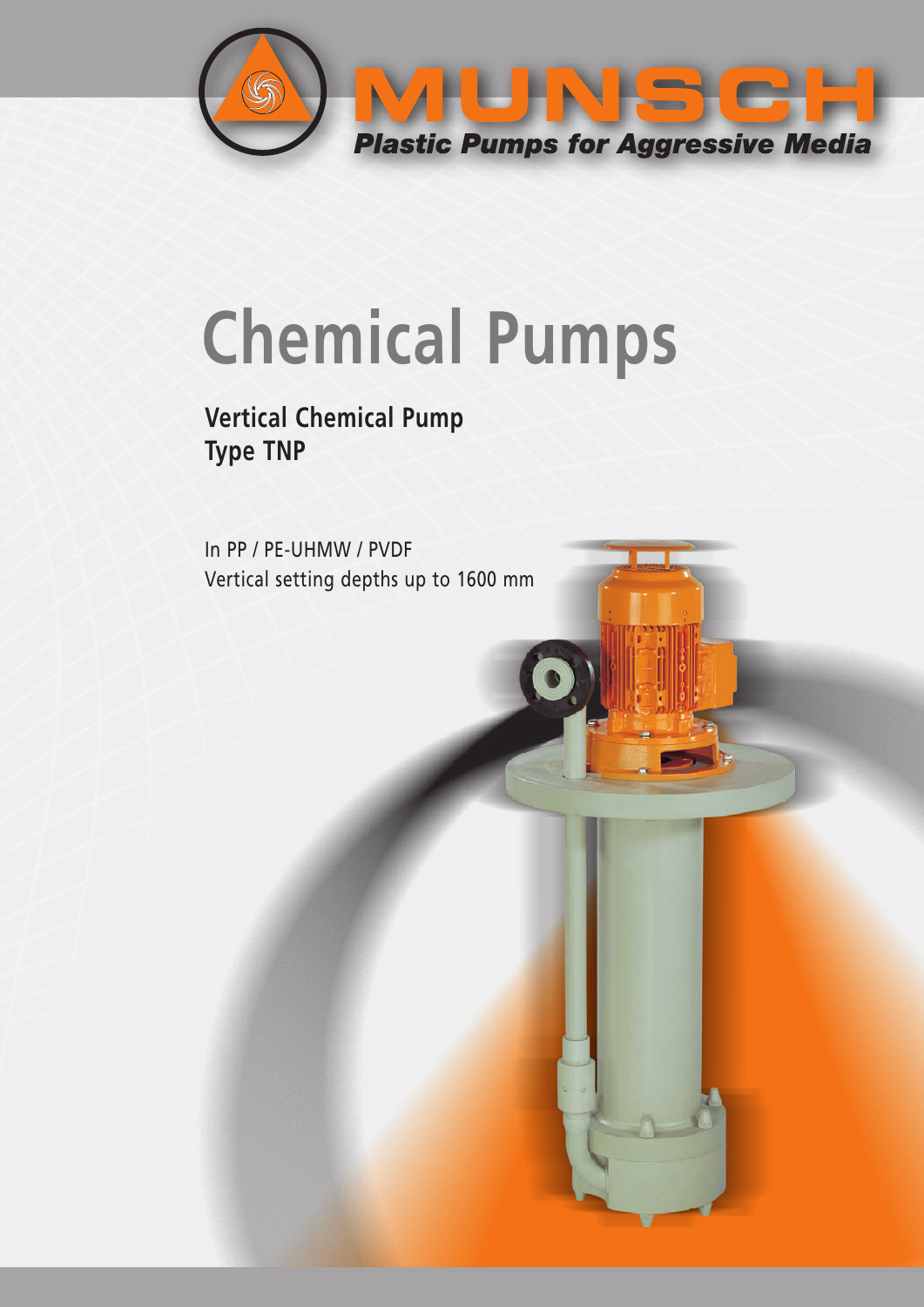

# **Chemical Pumps**

### **Vertical Chemical Pump Type TNP**

In PP / PE-UHMW / PVDF Vertical setting depths up to 1600 mm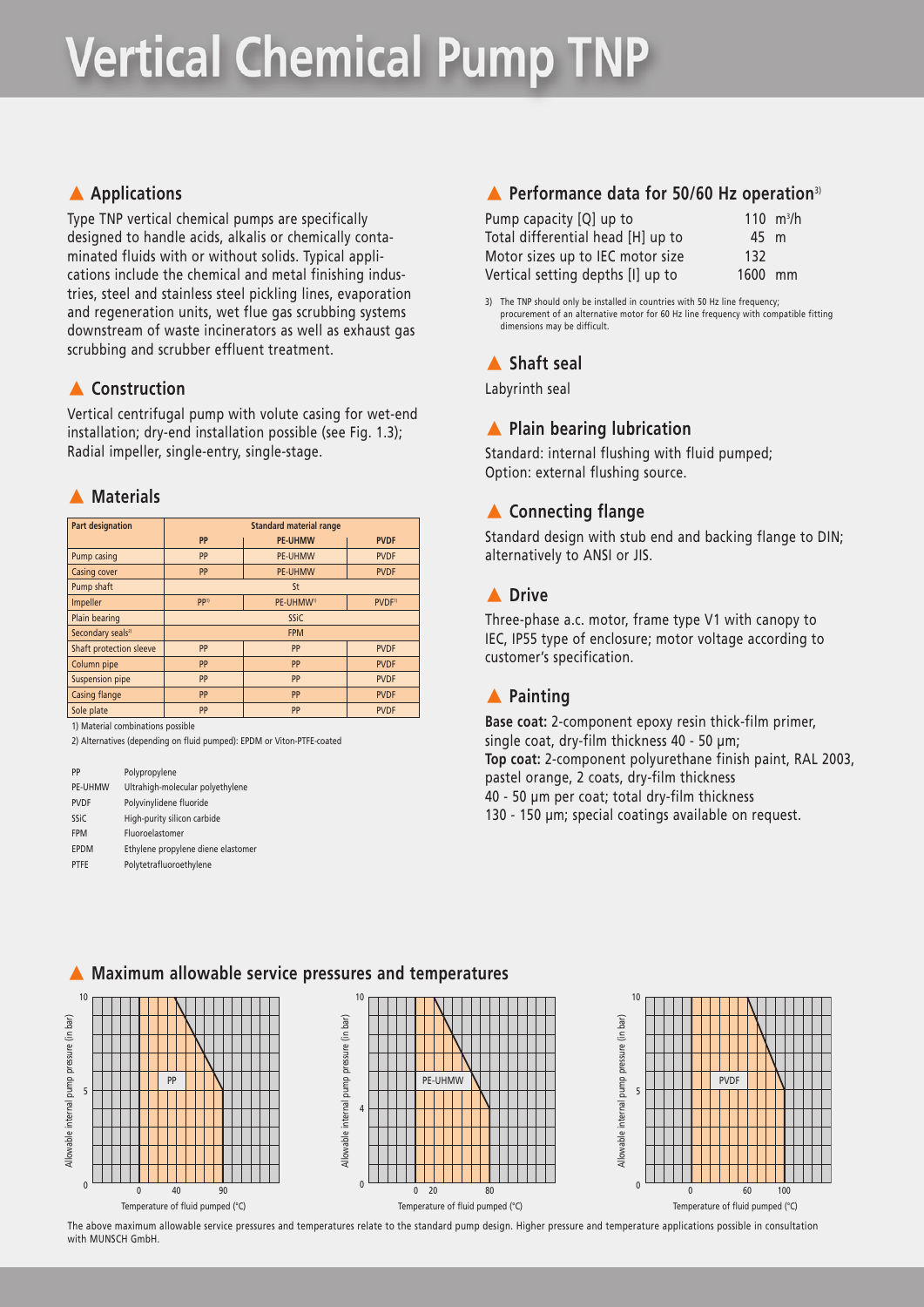## **Vertical Chemical Pump TNP**

#### **A** Applications

Type TNP vertical chemical pumps are specifically designed to handle acids, alkalis or chemically contaminated fluids with or without solids. Typical applications include the chemical and metal finishing industries, steel and stainless steel pickling lines, evaporation and regeneration units, wet flue gas scrubbing systems downstream of waste incinerators as well as exhaust gas scrubbing and scrubber effluent treatment.

#### **A** Construction

Vertical centrifugal pump with volute casing for wet-end installation; dry-end installation possible (see Fig. 1.3); Radial impeller, single-entry, single-stage.

#### **A** Materials

| <b>Part designation</b>       | <b>Standard material range</b>                                  |                |             |  |  |  |
|-------------------------------|-----------------------------------------------------------------|----------------|-------------|--|--|--|
|                               | PP                                                              | <b>PE-UHMW</b> | <b>PVDF</b> |  |  |  |
| Pump casing                   | PP                                                              | <b>PE-UHMW</b> | <b>PVDF</b> |  |  |  |
| <b>Casing cover</b>           | PP<br><b>PE-UHMW</b><br><b>PVDF</b>                             |                |             |  |  |  |
| Pump shaft                    | <b>St</b>                                                       |                |             |  |  |  |
| Impeller                      | PP <sup>1)</sup><br>PE-UHMW <sup>1)</sup><br>PVDF <sup>1)</sup> |                |             |  |  |  |
| Plain bearing                 | <b>SSiC</b>                                                     |                |             |  |  |  |
| Secondary seals <sup>2)</sup> | <b>FPM</b>                                                      |                |             |  |  |  |
| Shaft protection sleeve       | PP                                                              | PP             | <b>PVDF</b> |  |  |  |
| Column pipe                   | PP                                                              | PP             | <b>PVDF</b> |  |  |  |
| Suspension pipe               | PP                                                              | PP             | <b>PVDF</b> |  |  |  |
| Casing flange                 | PP                                                              | PP             | <b>PVDF</b> |  |  |  |
| Sole plate                    | PP                                                              | PP             | <b>PVDF</b> |  |  |  |

1) Material combinations possible

2) Alternatives (depending on fluid pumped): EPDM or Viton-PTFE-coated

PP Polypropylene PE-UHMW Ultrahigh-molecular polyethylene PVDF Polyvinylidene fluoride SSiC High-purity silicon carbide FPM Fluoroelastomer EPDM Ethylene propylene diene elastome PTFE Polytetrafluoroethylene

#### - **Performance data for 50/60 Hz operation**3)

| Pump capacity [Q] up to           |         | 110 $m^3/h$ |
|-----------------------------------|---------|-------------|
| Total differential head [H] up to | 45 m    |             |
| Motor sizes up to IEC motor size  | 132     |             |
| Vertical setting depths [I] up to | 1600 mm |             |

3) The TNP should only be installed in countries with 50 Hz line frequency; procurement of an alternative motor for 60 Hz line frequency with compatible fitting dimensions may be difficult.

#### - **Shaft seal**

Labyrinth seal

#### **A** Plain bearing lubrication

Standard: internal flushing with fluid pumped; Option: external flushing source.

#### - **Connecting flange**

Standard design with stub end and backing flange to DIN; alternatively to ANSI or JIS.

#### - **Drive**

Three-phase a.c. motor, frame type V1 with canopy to IEC, IP55 type of enclosure; motor voltage according to customer's specification.

#### - **Painting**

**Base coat:** 2-component epoxy resin thick-film primer, single coat, dry-film thickness 40 - 50 µm; **Top coat:** 2-component polyurethane finish paint, RAL 2003, pastel orange, 2 coats, dry-film thickness 40 - 50 µm per coat; total dry-film thickness 130 - 150 µm; special coatings available on request.



The above maximum allowable service pressures and temperatures relate to the standard pump design. Higher pressure and temperature applications possible in consultation with MUNSCH GmbH

#### $\blacktriangle$ **Maximum allowable service pressures and temperatures**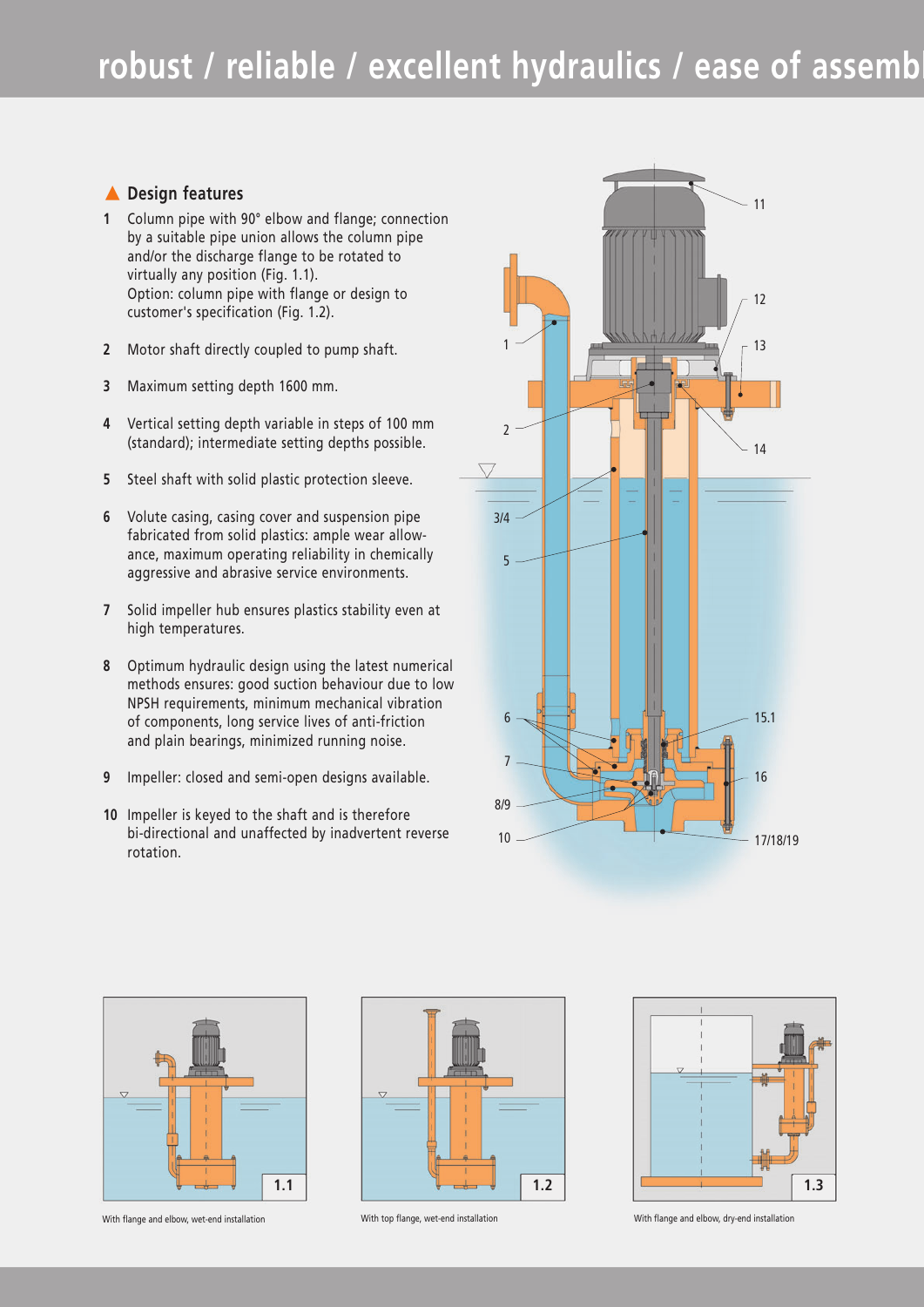### robust / reliable / excellent hydraulics / ease of assemb

#### - **Design features**

- **1** Column pipe with 90° elbow and flange; connection by a suitable pipe union allows the column pipe and/or the discharge flange to be rotated to virtually any position (Fig. 1.1). Option: column pipe with flange or design to customer's specification (Fig. 1.2).
- **2** Motor shaft directly coupled to pump shaft.
- **3** Maximum setting depth 1600 mm.
- **4** Vertical setting depth variable in steps of 100 mm (standard); intermediate setting depths possible.
- **5** Steel shaft with solid plastic protection sleeve.
- **6** Volute casing, casing cover and suspension pipe fabricated from solid plastics: ample wear allowance, maximum operating reliability in chemically aggressive and abrasive service environments.
- **7** Solid impeller hub ensures plastics stability even at high temperatures.
- **8** Optimum hydraulic design using the latest numerical methods ensures: good suction behaviour due to low NPSH requirements, minimum mechanical vibration of components, long service lives of anti-friction and plain bearings, minimized running noise.
- **9** Impeller: closed and semi-open designs available.
- **10** Impeller is keyed to the shaft and is therefore bi-directional and unaffected by inadvertent reverse rotation.











With flange and elbow, wet-end installation With top flange, wet-end installation With flange and elbow, dry-end installation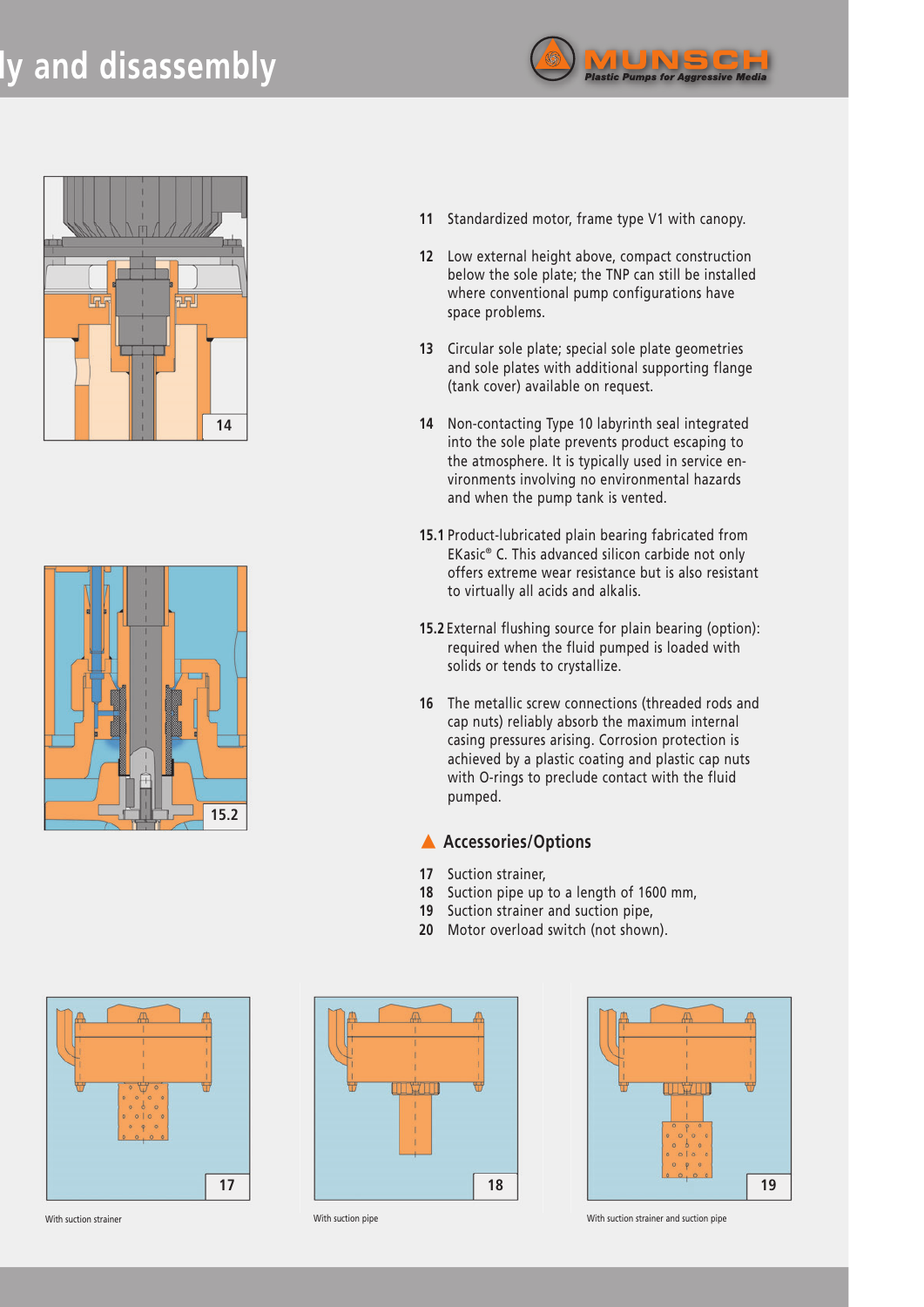## **ly and disassembly**







- **11** Standardized motor, frame type V1 with canopy.
- **12** Low external height above, compact construction below the sole plate; the TNP can still be installed where conventional pump configurations have space problems.
- **13** Circular sole plate; special sole plate geometries and sole plates with additional supporting flange (tank cover) available on request.
- **14** Non-contacting Type 10 labyrinth seal integrated into the sole plate prevents product escaping to the atmosphere. It is typically used in service environments involving no environmental hazards and when the pump tank is vented.
- **15.1** Product-lubricated plain bearing fabricated from EKasic® C. This advanced silicon carbide not only offers extreme wear resistance but is also resistant to virtually all acids and alkalis.
- **15.2**External flushing source for plain bearing (option): required when the fluid pumped is loaded with solids or tends to crystallize.
- **16** The metallic screw connections (threaded rods and cap nuts) reliably absorb the maximum internal casing pressures arising. Corrosion protection is achieved by a plastic coating and plastic cap nuts with O-rings to preclude contact with the fluid pumped.

#### **A** Accessories/Options

- **17** Suction strainer,
- **18** Suction pipe up to a length of 1600 mm,
- **19** Suction strainer and suction pipe,
- **20** Motor overload switch (not shown).







With suction strainer and suction pipe With suction pipe With suction strainer and suction pipe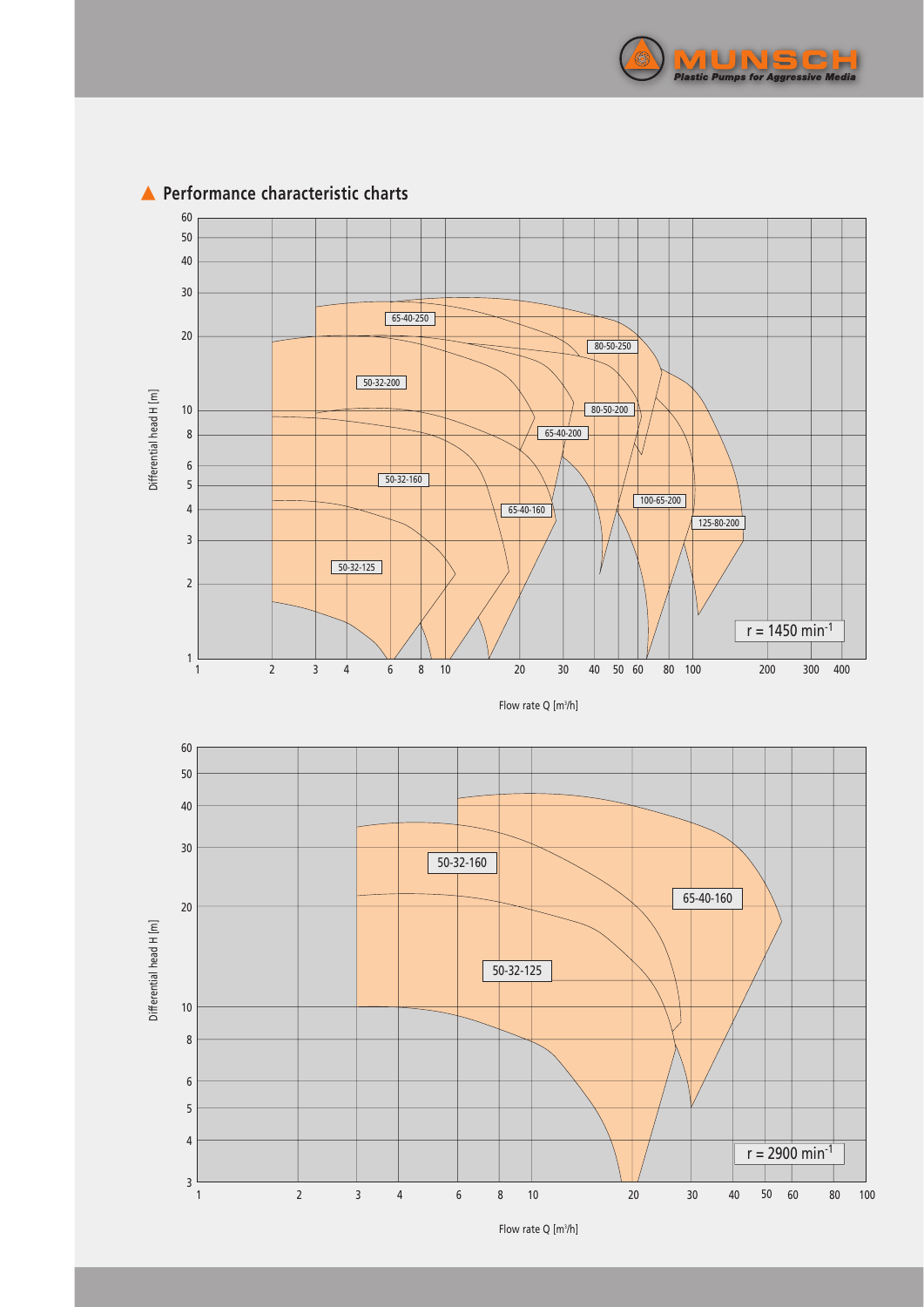



#### **A** Performance characteristic charts

Flow rate Q [m<sup>3</sup>/h]